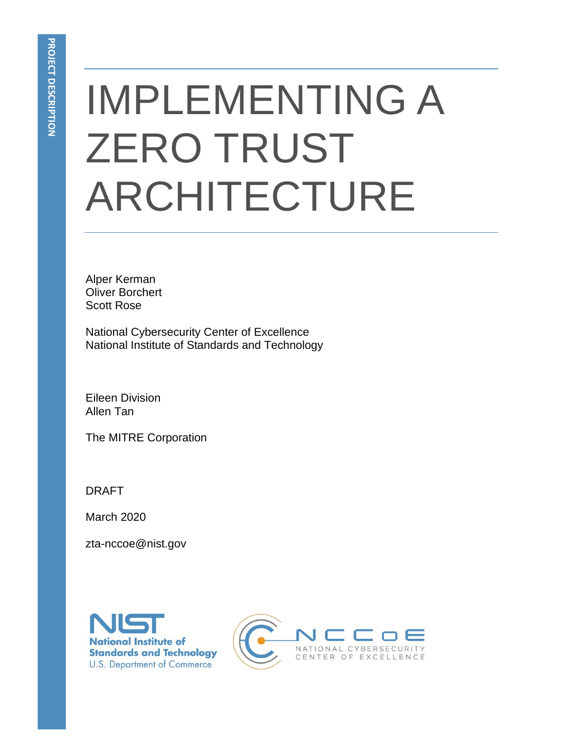# IMPLEMENTING A ZERO TRUST ARCHITECTURE

Alper Kerman Oliver Borchert Scott Rose

National Cybersecurity Center of Excellence National Institute of Standards and Technology

Eileen Division Allen Tan

The MITRE Corporation

DRAFT

March 2020

zta-nccoe@nist.gov



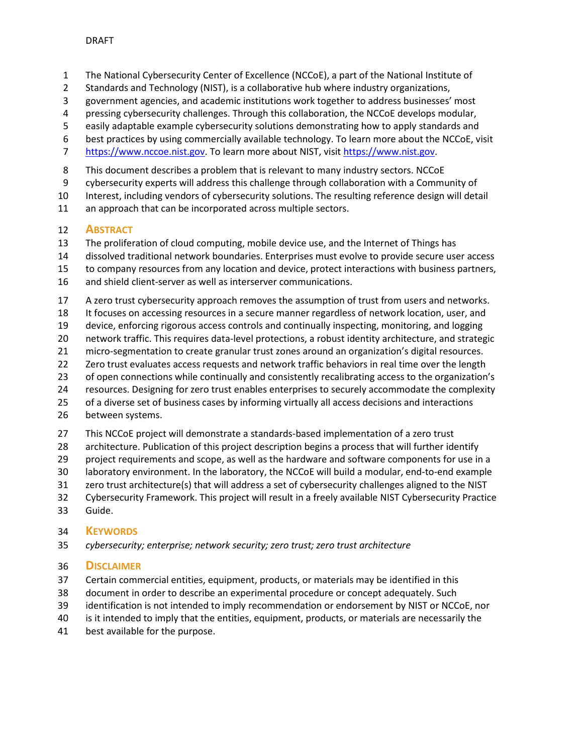- 1 The National Cybersecurity Center of Excellence (NCCoE), a part of the National Institute of
- 2 Standards and Technology (NIST), is a collaborative hub where industry organizations,
- 3 government agencies, and academic institutions work together to address businesses' most
- 4 pressing cybersecurity challenges. Through this collaboration, the NCCoE develops modular,
- 5 easily adaptable example cybersecurity solutions demonstrating how to apply standards and
- 6 best practices by using commercially available technology. To learn more about the NCCoE, visit
- [https://www.nccoe.nist.gov.](https://www.nccoe.nist.gov/) To learn more about NIST, visi[t https://www.nist.gov.](https://www.nist.gov/)
- 8 This document describes a problem that is relevant to many industry sectors. NCCoE
- 9 cybersecurity experts will address this challenge through collaboration with a Community of
- Interest, including vendors of cybersecurity solutions. The resulting reference design will detail
- 11 an approach that can be incorporated across multiple sectors.

# **ABSTRACT**

- The proliferation of cloud computing, mobile device use, and the Internet of Things has
- dissolved traditional network boundaries. Enterprises must evolve to provide secure user access
- to company resources from any location and device, protect interactions with business partners,
- and shield client-server as well as interserver communications.
- A zero trust cybersecurity approach removes the assumption of trust from users and networks.
- It focuses on accessing resources in a secure manner regardless of network location, user, and
- device, enforcing rigorous access controls and continually inspecting, monitoring, and logging
- network traffic. This requires data-level protections, a robust identity architecture, and strategic
- micro-segmentation to create granular trust zones around an organization's digital resources.
- Zero trust evaluates access requests and network traffic behaviors in real time over the length
- of open connections while continually and consistently recalibrating access to the organization's
- resources. Designing for zero trust enables enterprises to securely accommodate the complexity
- 25 of a diverse set of business cases by informing virtually all access decisions and interactions
- between systems.
- This NCCoE project will demonstrate a standards-based implementation of a zero trust
- architecture. Publication of this project description begins a process that will further identify
- project requirements and scope, as well as the hardware and software components for use in a
- laboratory environment. In the laboratory, the NCCoE will build a modular, end-to-end example
- zero trust architecture(s) that will address a set of cybersecurity challenges aligned to the NIST
- Cybersecurity Framework. This project will result in a freely available NIST Cybersecurity Practice
- Guide.

# **KEYWORDS**

*cybersecurity; enterprise; network security; zero trust; zero trust architecture* 

# **DISCLAIMER**

- Certain commercial entities, equipment, products, or materials may be identified in this
- document in order to describe an experimental procedure or concept adequately. Such
- identification is not intended to imply recommendation or endorsement by NIST or NCCoE, nor
- is it intended to imply that the entities, equipment, products, or materials are necessarily the
- best available for the purpose.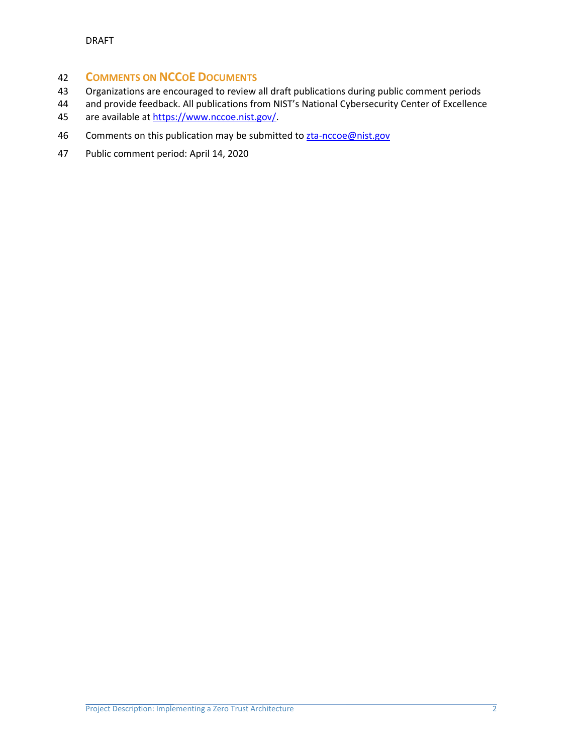# **COMMENTS ON NCCOE DOCUMENTS**

- Organizations are encouraged to review all draft publications during public comment periods
- and provide feedback. All publications from NIST's National Cybersecurity Center of Excellence
- are available a[t https://www.nccoe.nist.gov/](https://www.nccoe.nist.gov/).
- 46 Comments on this publication may be submitted to **zta-nccoe@nist.gov**
- Public comment period: April 14, 2020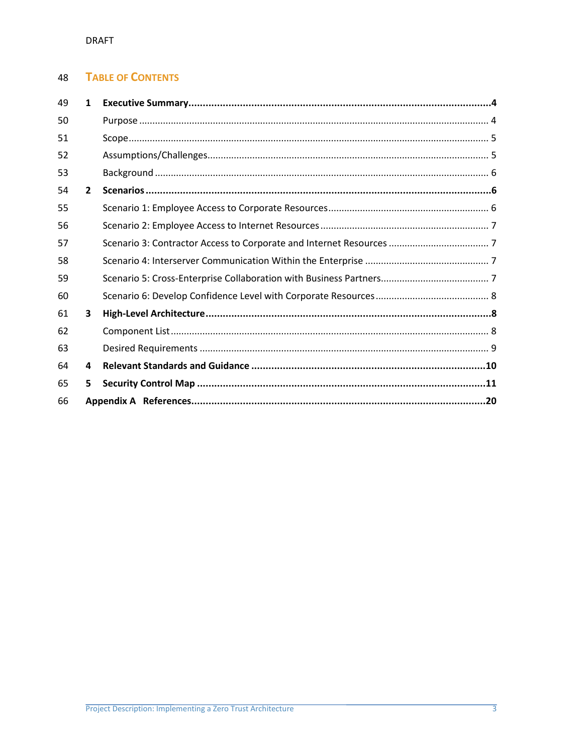#### **TABLE OF CONTENTS** 48

| 49 | $\mathbf{1}$   |  |
|----|----------------|--|
| 50 |                |  |
| 51 |                |  |
| 52 |                |  |
| 53 |                |  |
| 54 | $\overline{2}$ |  |
| 55 |                |  |
| 56 |                |  |
| 57 |                |  |
| 58 |                |  |
| 59 |                |  |
| 60 |                |  |
| 61 | 3              |  |
| 62 |                |  |
| 63 |                |  |
| 64 | 4              |  |
| 65 | 5              |  |
| 66 |                |  |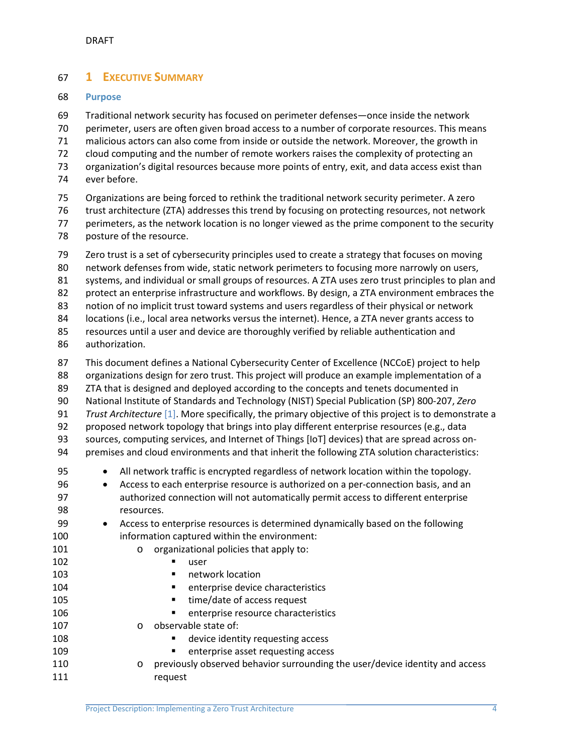# <span id="page-4-0"></span>**1 EXECUTIVE SUMMARY**

### <span id="page-4-1"></span>**Purpose**

 Traditional network security has focused on perimeter defenses—once inside the network perimeter, users are often given broad access to a number of corporate resources. This means malicious actors can also come from inside or outside the network. Moreover, the growth in cloud computing and the number of remote workers raises the complexity of protecting an organization's digital resources because more points of entry, exit, and data access exist than ever before. Organizations are being forced to rethink the traditional network security perimeter. A zero

- trust architecture (ZTA) addresses this trend by focusing on protecting resources, not network
- perimeters, as the network location is no longer viewed as the prime component to the security
- posture of the resource.

 Zero trust is a set of cybersecurity principles used to create a strategy that focuses on moving network defenses from wide, static network perimeters to focusing more narrowly on users, systems, and individual or small groups of resources. A ZTA uses zero trust principles to plan and protect an enterprise infrastructure and workflows. By design, a ZTA environment embraces the

notion of no implicit trust toward systems and users regardless of their physical or network

locations (i.e., local area networks versus the internet). Hence, a ZTA never grants access to

 resources until a user and device are thoroughly verified by reliable authentication and authorization.

- This document defines a National Cybersecurity Center of Excellence (NCCoE) project to help organizations design for zero trust. This project will produce an example implementation of a ZTA that is designed and deployed according to the concepts and tenets documented in National Institute of Standards and Technology (NIST) Special Publication (SP) 800-207, *Zero Trust Architecture* [\[1\].](#page-19-1) More specifically, the primary objective of this project is to demonstrate a proposed network topology that brings into play different enterprise resources (e.g., data sources, computing services, and Internet of Things [IoT] devices) that are spread across on- premises and cloud environments and that inherit the following ZTA solution characteristics: 95 • All network traffic is encrypted regardless of network location within the topology. • Access to each enterprise resource is authorized on a per-connection basis, and an authorized connection will not automatically permit access to different enterprise resources. • Access to enterprise resources is determined dynamically based on the following
- information captured within the environment: 101 o organizational policies that apply to: **user** user **network location enterprise device characteristics time/date of access request enterprise resource characteristics**  o observable state of:  $\blacksquare$  device identity requesting access **enterprise asset requesting access behavior of previously observed behavior surrounding the user/device identity and access** 111 request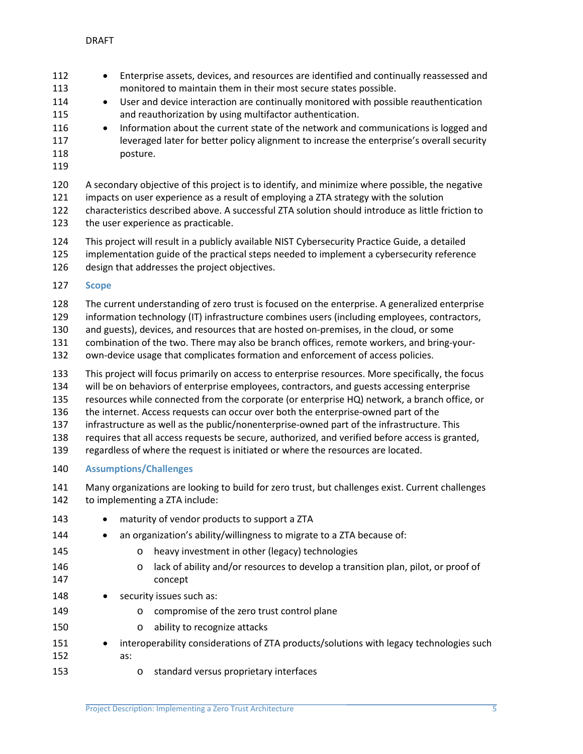- 112 Enterprise assets, devices, and resources are identified and continually reassessed and monitored to maintain them in their most secure states possible. 114 • User and device interaction are continually monitored with possible reauthentication
- and reauthorization by using multifactor authentication. 116 • Information about the current state of the network and communications is logged and
- 117 leveraged later for better policy alignment to increase the enterprise's overall security posture.
- 

A secondary objective of this project is to identify, and minimize where possible, the negative

impacts on user experience as a result of employing a ZTA strategy with the solution

 characteristics described above. A successful ZTA solution should introduce as little friction to the user experience as practicable.

This project will result in a publicly available NIST Cybersecurity Practice Guide, a detailed

- implementation guide of the practical steps needed to implement a cybersecurity reference design that addresses the project objectives.
- <span id="page-5-0"></span>**Scope**

The current understanding of zero trust is focused on the enterprise. A generalized enterprise

information technology (IT) infrastructure combines users (including employees, contractors,

and guests), devices, and resources that are hosted on-premises, in the cloud, or some

combination of the two. There may also be branch offices, remote workers, and bring-your-

own-device usage that complicates formation and enforcement of access policies.

This project will focus primarily on access to enterprise resources. More specifically, the focus

will be on behaviors of enterprise employees, contractors, and guests accessing enterprise

resources while connected from the corporate (or enterprise HQ) network, a branch office, or

the internet. Access requests can occur over both the enterprise-owned part of the

infrastructure as well as the public/nonenterprise-owned part of the infrastructure. This

requires that all access requests be secure, authorized, and verified before access is granted,

- regardless of where the request is initiated or where the resources are located.
- <span id="page-5-1"></span>**Assumptions/Challenges**
- Many organizations are looking to build for zero trust, but challenges exist. Current challenges to implementing a ZTA include:
- 143 maturity of vendor products to support a ZTA 144 • an organization's ability/willingness to migrate to a ZTA because of: o heavy investment in other (legacy) technologies **b and 146** o lack of ability and/or resources to develop a transition plan, pilot, or proof of concept 148 • security issues such as: **o** compromise of the zero trust control plane **b** o ability to recognize attacks 151 • interoperability considerations of ZTA products/solutions with legacy technologies such as:
- o standard versus proprietary interfaces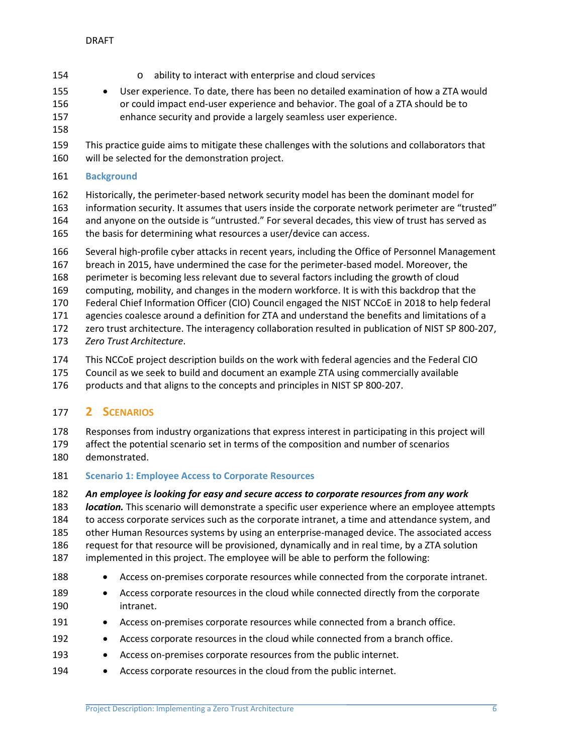- o ability to interact with enterprise and cloud services
- User experience. To date, there has been no detailed examination of how a ZTA would or could impact end-user experience and behavior. The goal of a ZTA should be to enhance security and provide a largely seamless user experience.
- 
- This practice guide aims to mitigate these challenges with the solutions and collaborators that will be selected for the demonstration project.
- <span id="page-6-0"></span>**Background**

 Historically, the perimeter-based network security model has been the dominant model for information security. It assumes that users inside the corporate network perimeter are "trusted" and anyone on the outside is "untrusted." For several decades, this view of trust has served as the basis for determining what resources a user/device can access.

- Several high-profile cyber attacks in recent years, including the Office of Personnel Management
- breach in 2015, have undermined the case for the perimeter-based model. Moreover, the
- perimeter is becoming less relevant due to several factors including the growth of cloud
- computing, mobility, and changes in the modern workforce. It is with this backdrop that the Federal Chief Information Officer (CIO) Council engaged the NIST NCCoE in 2018 to help federal
- agencies coalesce around a definition for ZTA and understand the benefits and limitations of a
- zero trust architecture. The interagency collaboration resulted in publication of NIST SP 800-207,
- *Zero Trust Architecture*.
- This NCCoE project description builds on the work with federal agencies and the Federal CIO
- Council as we seek to build and document an example ZTA using commercially available
- products and that aligns to the concepts and principles in NIST SP 800-207.

# <span id="page-6-1"></span>**2 SCENARIOS**

 Responses from industry organizations that express interest in participating in this project will affect the potential scenario set in terms of the composition and number of scenarios

- demonstrated.
- <span id="page-6-2"></span>**Scenario 1: Employee Access to Corporate Resources**
- *An employee is looking for easy and secure access to corporate resources from any work*

 *location.* This scenario will demonstrate a specific user experience where an employee attempts to access corporate services such as the corporate intranet, a time and attendance system, and other Human Resources systems by using an enterprise-managed device. The associated access request for that resource will be provisioned, dynamically and in real time, by a ZTA solution implemented in this project. The employee will be able to perform the following:

- 188 Access on-premises corporate resources while connected from the corporate intranet.
- 189 Access corporate resources in the cloud while connected directly from the corporate intranet.
- 191 Access on-premises corporate resources while connected from a branch office.
- 192 Access corporate resources in the cloud while connected from a branch office.
- 193 Access on-premises corporate resources from the public internet.
- 194 Access corporate resources in the cloud from the public internet.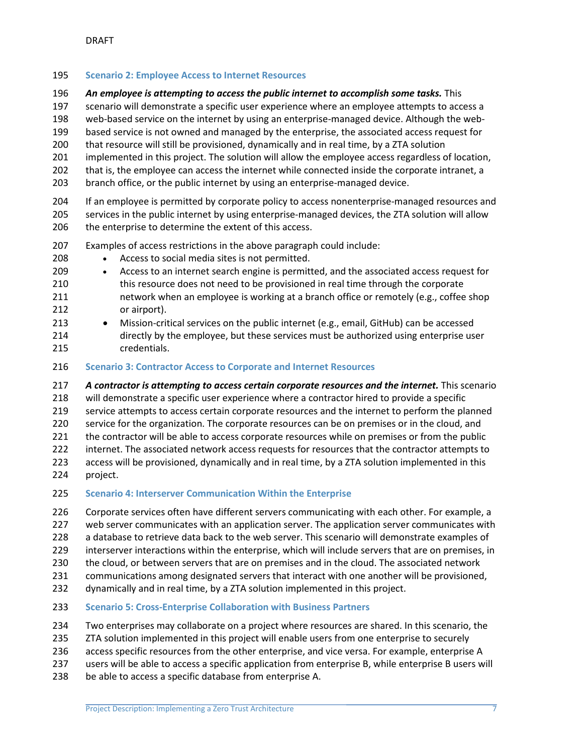### <span id="page-7-0"></span>**Scenario 2: Employee Access to Internet Resources**

*An employee is attempting to access the public internet to accomplish some tasks.* This

scenario will demonstrate a specific user experience where an employee attempts to access a

web-based service on the internet by using an enterprise-managed device. Although the web-

based service is not owned and managed by the enterprise, the associated access request for

that resource will still be provisioned, dynamically and in real time, by a ZTA solution

- implemented in this project. The solution will allow the employee access regardless of location,
- that is, the employee can access the internet while connected inside the corporate intranet, a
- branch office, or the public internet by using an enterprise-managed device.

 If an employee is permitted by corporate policy to access nonenterprise-managed resources and services in the public internet by using enterprise-managed devices, the ZTA solution will allow 206 the enterprise to determine the extent of this access.

- Examples of access restrictions in the above paragraph could include:
- Access to social media sites is not permitted.
- Access to an internet search engine is permitted, and the associated access request for this resource does not need to be provisioned in real time through the corporate 211 hetwork when an employee is working at a branch office or remotely (e.g., coffee shop or airport).
- Mission-critical services on the public internet (e.g., email, GitHub) can be accessed directly by the employee, but these services must be authorized using enterprise user credentials.
- <span id="page-7-1"></span>**Scenario 3: Contractor Access to Corporate and Internet Resources**

 *A contractor is attempting to access certain corporate resources and the internet.* This scenario will demonstrate a specific user experience where a contractor hired to provide a specific service attempts to access certain corporate resources and the internet to perform the planned service for the organization. The corporate resources can be on premises or in the cloud, and 221 the contractor will be able to access corporate resources while on premises or from the public internet. The associated network access requests for resources that the contractor attempts to access will be provisioned, dynamically and in real time, by a ZTA solution implemented in this project.

<span id="page-7-2"></span>**Scenario 4: Interserver Communication Within the Enterprise**

226 Corporate services often have different servers communicating with each other. For example, a web server communicates with an application server. The application server communicates with 228 a database to retrieve data back to the web server. This scenario will demonstrate examples of interserver interactions within the enterprise, which will include servers that are on premises, in the cloud, or between servers that are on premises and in the cloud. The associated network communications among designated servers that interact with one another will be provisioned,

dynamically and in real time, by a ZTA solution implemented in this project.

<span id="page-7-3"></span>**Scenario 5: Cross-Enterprise Collaboration with Business Partners**

Two enterprises may collaborate on a project where resources are shared. In this scenario, the

- 235 ZTA solution implemented in this project will enable users from one enterprise to securely
- access specific resources from the other enterprise, and vice versa. For example, enterprise A
- users will be able to access a specific application from enterprise B, while enterprise B users will
- be able to access a specific database from enterprise A.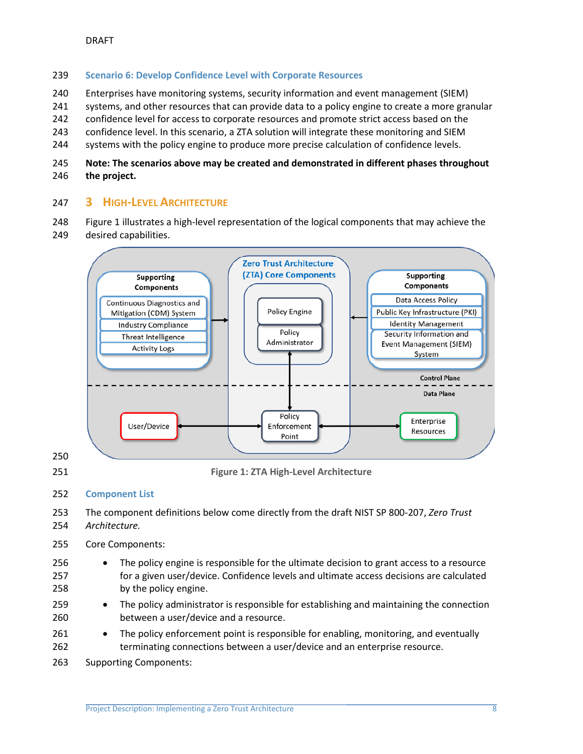#### <span id="page-8-0"></span>**Scenario 6: Develop Confidence Level with Corporate Resources**

- Enterprises have monitoring systems, security information and event management (SIEM)
- 241 systems, and other resources that can provide data to a policy engine to create a more granular
- confidence level for access to corporate resources and promote strict access based on the
- confidence level. In this scenario, a ZTA solution will integrate these monitoring and SIEM
- 244 systems with the policy engine to produce more precise calculation of confidence levels.

# **Note: The scenarios above may be created and demonstrated in different phases throughout the project.**

# <span id="page-8-1"></span>**3 HIGH-LEVEL ARCHITECTURE**

 Figure 1 illustrates a high-level representation of the logical components that may achieve the desired capabilities.



#### <span id="page-8-2"></span>**Component List**

- The component definitions below come directly from the draft NIST SP 800-207, *Zero Trust Architecture.*
- Core Components:
- The policy engine is responsible for the ultimate decision to grant access to a resource for a given user/device. Confidence levels and ultimate access decisions are calculated by the policy engine.
- The policy administrator is responsible for establishing and maintaining the connection between a user/device and a resource.
- 261 The policy enforcement point is responsible for enabling, monitoring, and eventually terminating connections between a user/device and an enterprise resource.
- Supporting Components: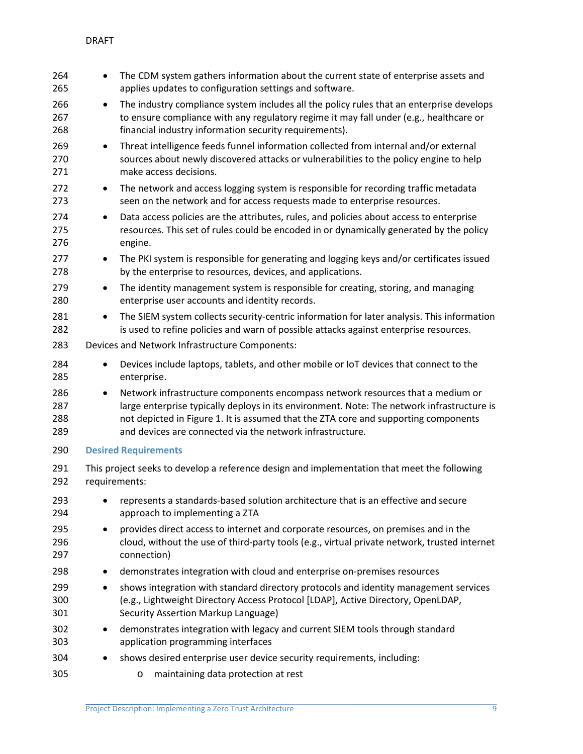<span id="page-9-0"></span>

| 264<br>265               | $\bullet$     | The CDM system gathers information about the current state of enterprise assets and<br>applies updates to configuration settings and software.                                                                                                                                                                                   |
|--------------------------|---------------|----------------------------------------------------------------------------------------------------------------------------------------------------------------------------------------------------------------------------------------------------------------------------------------------------------------------------------|
| 266<br>267<br>268        | ٠             | The industry compliance system includes all the policy rules that an enterprise develops<br>to ensure compliance with any regulatory regime it may fall under (e.g., healthcare or<br>financial industry information security requirements).                                                                                     |
| 269<br>270<br>271        | $\bullet$     | Threat intelligence feeds funnel information collected from internal and/or external<br>sources about newly discovered attacks or vulnerabilities to the policy engine to help<br>make access decisions.                                                                                                                         |
| 272<br>273               | $\bullet$     | The network and access logging system is responsible for recording traffic metadata<br>seen on the network and for access requests made to enterprise resources.                                                                                                                                                                 |
| 274<br>275<br>276        | ٠             | Data access policies are the attributes, rules, and policies about access to enterprise<br>resources. This set of rules could be encoded in or dynamically generated by the policy<br>engine.                                                                                                                                    |
| 277<br>278               | $\bullet$     | The PKI system is responsible for generating and logging keys and/or certificates issued<br>by the enterprise to resources, devices, and applications.                                                                                                                                                                           |
| 279<br>280               | ٠             | The identity management system is responsible for creating, storing, and managing<br>enterprise user accounts and identity records.                                                                                                                                                                                              |
| 281<br>282               | $\bullet$     | The SIEM system collects security-centric information for later analysis. This information<br>is used to refine policies and warn of possible attacks against enterprise resources.                                                                                                                                              |
| 283                      |               | Devices and Network Infrastructure Components:                                                                                                                                                                                                                                                                                   |
| 284<br>285               | $\bullet$     | Devices include laptops, tablets, and other mobile or IoT devices that connect to the<br>enterprise.                                                                                                                                                                                                                             |
| 286<br>287<br>288<br>289 | $\bullet$     | Network infrastructure components encompass network resources that a medium or<br>large enterprise typically deploys in its environment. Note: The network infrastructure is<br>not depicted in Figure 1. It is assumed that the ZTA core and supporting components<br>and devices are connected via the network infrastructure. |
| 290                      |               | <b>Desired Requirements</b>                                                                                                                                                                                                                                                                                                      |
| 291<br>292               | requirements: | This project seeks to develop a reference design and implementation that meet the following                                                                                                                                                                                                                                      |
| 293<br>294               |               | represents a standards-based solution architecture that is an effective and secure<br>approach to implementing a ZTA                                                                                                                                                                                                             |
| 295<br>296<br>297        | $\bullet$     | provides direct access to internet and corporate resources, on premises and in the<br>cloud, without the use of third-party tools (e.g., virtual private network, trusted internet<br>connection)                                                                                                                                |
| 298                      | $\bullet$     | demonstrates integration with cloud and enterprise on-premises resources                                                                                                                                                                                                                                                         |
| 299<br>300<br>301        | $\bullet$     | shows integration with standard directory protocols and identity management services<br>(e.g., Lightweight Directory Access Protocol [LDAP], Active Directory, OpenLDAP,<br>Security Assertion Markup Language)                                                                                                                  |
| 302<br>303               | $\bullet$     | demonstrates integration with legacy and current SIEM tools through standard<br>application programming interfaces                                                                                                                                                                                                               |
| 304                      |               | shows desired enterprise user device security requirements, including:                                                                                                                                                                                                                                                           |
| 305                      |               | maintaining data protection at rest<br>O                                                                                                                                                                                                                                                                                         |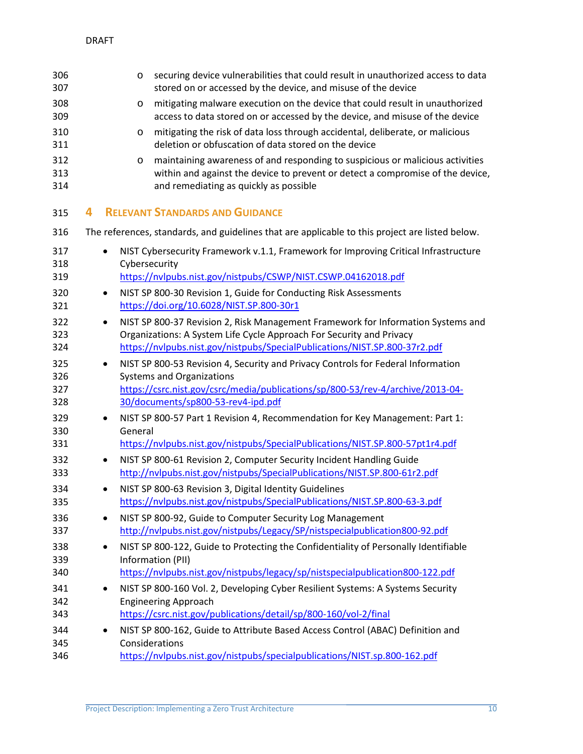<span id="page-10-0"></span>

| 306<br>307               |   |           | $\circ$       | securing device vulnerabilities that could result in unauthorized access to data<br>stored on or accessed by the device, and misuse of the device                                                                                            |
|--------------------------|---|-----------|---------------|----------------------------------------------------------------------------------------------------------------------------------------------------------------------------------------------------------------------------------------------|
| 308<br>309               |   |           | O             | mitigating malware execution on the device that could result in unauthorized<br>access to data stored on or accessed by the device, and misuse of the device                                                                                 |
| 310<br>311               |   |           | $\circ$       | mitigating the risk of data loss through accidental, deliberate, or malicious<br>deletion or obfuscation of data stored on the device                                                                                                        |
| 312<br>313<br>314        |   |           | O             | maintaining awareness of and responding to suspicious or malicious activities<br>within and against the device to prevent or detect a compromise of the device,<br>and remediating as quickly as possible                                    |
| 315                      | 4 |           |               | <b>RELEVANT STANDARDS AND GUIDANCE</b>                                                                                                                                                                                                       |
| 316                      |   |           |               | The references, standards, and guidelines that are applicable to this project are listed below.                                                                                                                                              |
| 317<br>318               |   |           | Cybersecurity | NIST Cybersecurity Framework v.1.1, Framework for Improving Critical Infrastructure                                                                                                                                                          |
| 319                      |   |           |               | https://nvlpubs.nist.gov/nistpubs/CSWP/NIST.CSWP.04162018.pdf                                                                                                                                                                                |
| 320<br>321               |   | $\bullet$ |               | NIST SP 800-30 Revision 1, Guide for Conducting Risk Assessments<br>https://doi.org/10.6028/NIST.SP.800-30r1                                                                                                                                 |
| 322<br>323<br>324        |   | $\bullet$ |               | NIST SP 800-37 Revision 2, Risk Management Framework for Information Systems and<br>Organizations: A System Life Cycle Approach For Security and Privacy<br>https://nvlpubs.nist.gov/nistpubs/SpecialPublications/NIST.SP.800-37r2.pdf       |
| 325<br>326<br>327<br>328 |   | $\bullet$ |               | NIST SP 800-53 Revision 4, Security and Privacy Controls for Federal Information<br><b>Systems and Organizations</b><br>https://csrc.nist.gov/csrc/media/publications/sp/800-53/rev-4/archive/2013-04-<br>30/documents/sp800-53-rev4-ipd.pdf |
| 329<br>330<br>331        |   | $\bullet$ | General       | NIST SP 800-57 Part 1 Revision 4, Recommendation for Key Management: Part 1:<br>https://nvlpubs.nist.gov/nistpubs/SpecialPublications/NIST.SP.800-57pt1r4.pdf                                                                                |
| 332<br>333               |   | $\bullet$ |               | NIST SP 800-61 Revision 2, Computer Security Incident Handling Guide<br>http://nvlpubs.nist.gov/nistpubs/SpecialPublications/NIST.SP.800-61r2.pdf                                                                                            |
| 334<br>335               |   | $\bullet$ |               | NIST SP 800-63 Revision 3, Digital Identity Guidelines<br>https://nvlpubs.nist.gov/nistpubs/SpecialPublications/NIST.SP.800-63-3.pdf                                                                                                         |
| 336<br>337               |   | $\bullet$ |               | NIST SP 800-92, Guide to Computer Security Log Management<br>http://nvlpubs.nist.gov/nistpubs/Legacy/SP/nistspecialpublication800-92.pdf                                                                                                     |
| 338<br>339<br>340        |   | $\bullet$ |               | NIST SP 800-122, Guide to Protecting the Confidentiality of Personally Identifiable<br>Information (PII)<br>https://nvlpubs.nist.gov/nistpubs/legacy/sp/nistspecialpublication800-122.pdf                                                    |
| 341<br>342<br>343        |   | $\bullet$ |               | NIST SP 800-160 Vol. 2, Developing Cyber Resilient Systems: A Systems Security<br><b>Engineering Approach</b><br>https://csrc.nist.gov/publications/detail/sp/800-160/vol-2/final                                                            |
| 344<br>345<br>346        |   | $\bullet$ |               | NIST SP 800-162, Guide to Attribute Based Access Control (ABAC) Definition and<br>Considerations<br>https://nvlpubs.nist.gov/nistpubs/specialpublications/NIST.sp.800-162.pdf                                                                |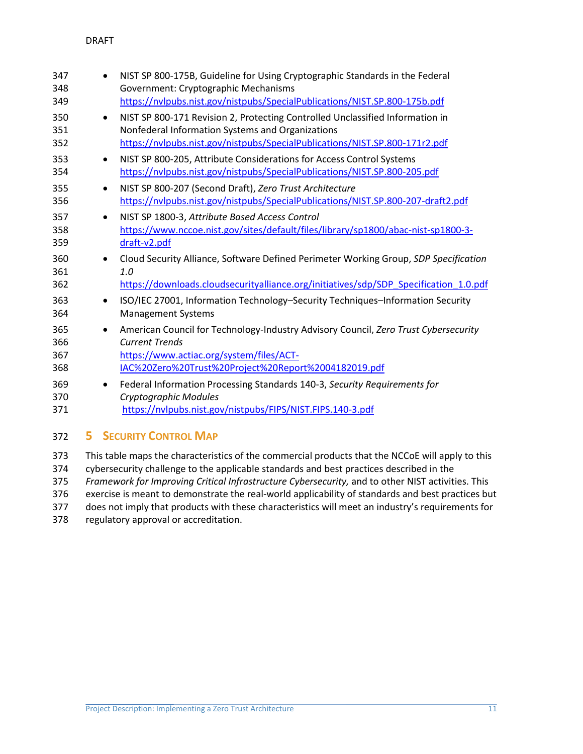| 347<br>348<br>349                     | NIST SP 800-175B, Guideline for Using Cryptographic Standards in the Federal<br>Government: Cryptographic Mechanisms<br>https://nvlpubs.nist.gov/nistpubs/SpecialPublications/NIST.SP.800-175b.pdf               |
|---------------------------------------|------------------------------------------------------------------------------------------------------------------------------------------------------------------------------------------------------------------|
| 350<br>$\bullet$<br>351<br>352        | NIST SP 800-171 Revision 2, Protecting Controlled Unclassified Information in<br>Nonfederal Information Systems and Organizations<br>https://nvlpubs.nist.gov/nistpubs/SpecialPublications/NIST.SP.800-171r2.pdf |
| 353<br>$\bullet$<br>354               | NIST SP 800-205, Attribute Considerations for Access Control Systems<br>https://nvlpubs.nist.gov/nistpubs/SpecialPublications/NIST.SP.800-205.pdf                                                                |
| 355<br>$\bullet$<br>356               | NIST SP 800-207 (Second Draft), Zero Trust Architecture<br>https://nvlpubs.nist.gov/nistpubs/SpecialPublications/NIST.SP.800-207-draft2.pdf                                                                      |
| 357<br>$\bullet$<br>358<br>359        | NIST SP 1800-3, Attribute Based Access Control<br>https://www.nccoe.nist.gov/sites/default/files/library/sp1800/abac-nist-sp1800-3-<br>draft-v2.pdf                                                              |
| 360<br>361<br>362                     | Cloud Security Alliance, Software Defined Perimeter Working Group, SDP Specification<br>1.0<br>https://downloads.cloudsecurityalliance.org/initiatives/sdp/SDP_Specification_1.0.pdf                             |
| 363<br>$\bullet$<br>364               | ISO/IEC 27001, Information Technology-Security Techniques-Information Security<br><b>Management Systems</b>                                                                                                      |
| 365<br>$\bullet$<br>366<br>367<br>368 | American Council for Technology-Industry Advisory Council, Zero Trust Cybersecurity<br><b>Current Trends</b><br>https://www.actiac.org/system/files/ACT-<br>IAC%20Zero%20Trust%20Project%20Report%2004182019.pdf |
| 369<br>$\bullet$<br>370<br>371        | Federal Information Processing Standards 140-3, Security Requirements for<br>Cryptographic Modules<br>https://nvlpubs.nist.gov/nistpubs/FIPS/NIST.FIPS.140-3.pdf                                                 |

# <span id="page-11-0"></span>**5 SECURITY CONTROL MAP**

 This table maps the characteristics of the commercial products that the NCCoE will apply to this cybersecurity challenge to the applicable standards and best practices described in the *Framework for Improving Critical Infrastructure Cybersecurity,* and to other NIST activities. This exercise is meant to demonstrate the real-world applicability of standards and best practices but 377 does not imply that products with these characteristics will meet an industry's requirements for regulatory approval or accreditation.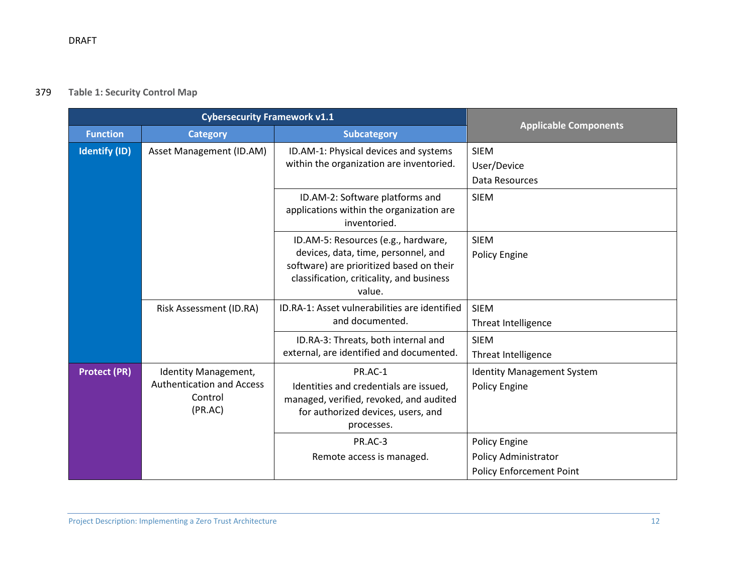# 379 **Table 1: Security Control Map**

|                      | <b>Cybersecurity Framework v1.1</b>                                            |                                                                                                                                                                               |                                                                                 |
|----------------------|--------------------------------------------------------------------------------|-------------------------------------------------------------------------------------------------------------------------------------------------------------------------------|---------------------------------------------------------------------------------|
| <b>Function</b>      | <b>Category</b>                                                                | <b>Subcategory</b>                                                                                                                                                            | <b>Applicable Components</b>                                                    |
| <b>Identify (ID)</b> | Asset Management (ID.AM)                                                       | ID.AM-1: Physical devices and systems<br>within the organization are inventoried.                                                                                             | <b>SIEM</b><br>User/Device<br>Data Resources                                    |
|                      |                                                                                | ID.AM-2: Software platforms and<br>applications within the organization are<br>inventoried.                                                                                   | <b>SIEM</b>                                                                     |
|                      |                                                                                | ID.AM-5: Resources (e.g., hardware,<br>devices, data, time, personnel, and<br>software) are prioritized based on their<br>classification, criticality, and business<br>value. | <b>SIEM</b><br><b>Policy Engine</b>                                             |
|                      | Risk Assessment (ID.RA)                                                        | ID.RA-1: Asset vulnerabilities are identified<br>and documented.                                                                                                              | <b>SIEM</b><br>Threat Intelligence                                              |
|                      |                                                                                | ID.RA-3: Threats, both internal and<br>external, are identified and documented.                                                                                               | <b>SIEM</b><br>Threat Intelligence                                              |
| <b>Protect (PR)</b>  | Identity Management,<br><b>Authentication and Access</b><br>Control<br>(PR.AC) | PR.AC-1<br>Identities and credentials are issued,<br>managed, verified, revoked, and audited<br>for authorized devices, users, and<br>processes.                              | <b>Identity Management System</b><br>Policy Engine                              |
|                      |                                                                                | PR.AC-3<br>Remote access is managed.                                                                                                                                          | Policy Engine<br><b>Policy Administrator</b><br><b>Policy Enforcement Point</b> |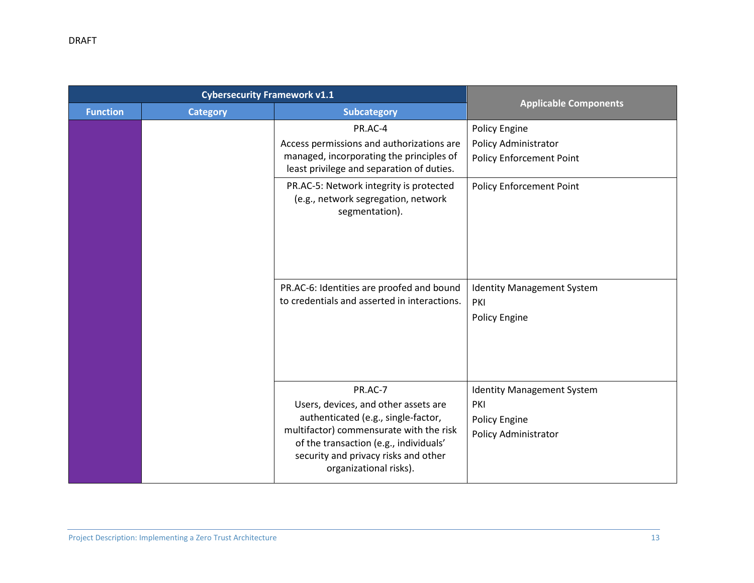|                 | <b>Cybersecurity Framework v1.1</b> |                                                                                                                                                                                                                                               |                                                                                          |
|-----------------|-------------------------------------|-----------------------------------------------------------------------------------------------------------------------------------------------------------------------------------------------------------------------------------------------|------------------------------------------------------------------------------------------|
| <b>Function</b> | <b>Category</b>                     | <b>Subcategory</b>                                                                                                                                                                                                                            | <b>Applicable Components</b>                                                             |
|                 |                                     | PR.AC-4<br>Access permissions and authorizations are<br>managed, incorporating the principles of<br>least privilege and separation of duties.                                                                                                 | <b>Policy Engine</b><br>Policy Administrator<br><b>Policy Enforcement Point</b>          |
|                 |                                     | PR.AC-5: Network integrity is protected<br>(e.g., network segregation, network<br>segmentation).                                                                                                                                              | <b>Policy Enforcement Point</b>                                                          |
|                 |                                     | PR.AC-6: Identities are proofed and bound<br>to credentials and asserted in interactions.                                                                                                                                                     | <b>Identity Management System</b><br>PKI<br>Policy Engine                                |
|                 |                                     | PR.AC-7<br>Users, devices, and other assets are<br>authenticated (e.g., single-factor,<br>multifactor) commensurate with the risk<br>of the transaction (e.g., individuals'<br>security and privacy risks and other<br>organizational risks). | <b>Identity Management System</b><br>PKI<br>Policy Engine<br><b>Policy Administrator</b> |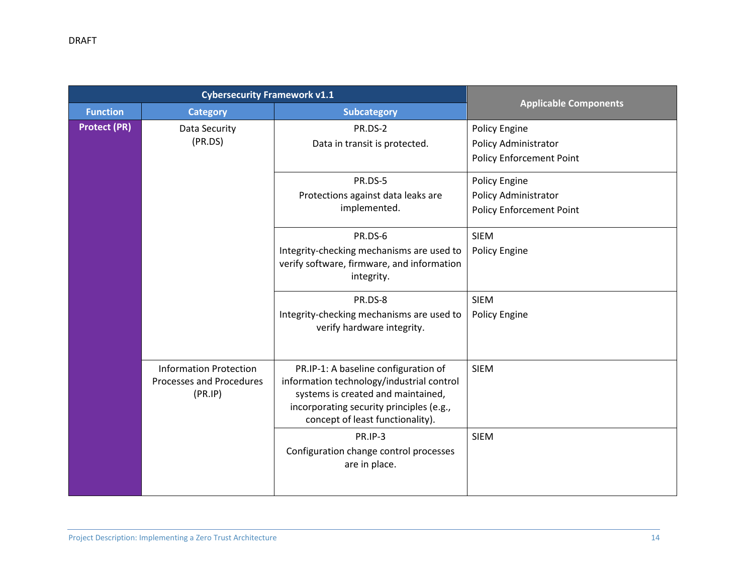|                     | <b>Cybersecurity Framework v1.1</b>                                  |                                                                                                                                                                                                         |                                                                          |
|---------------------|----------------------------------------------------------------------|---------------------------------------------------------------------------------------------------------------------------------------------------------------------------------------------------------|--------------------------------------------------------------------------|
| <b>Function</b>     | <b>Category</b>                                                      | <b>Subcategory</b>                                                                                                                                                                                      | <b>Applicable Components</b>                                             |
| <b>Protect (PR)</b> | Data Security<br>(PR.DS)                                             | PR.DS-2<br>Data in transit is protected.                                                                                                                                                                | Policy Engine<br>Policy Administrator<br><b>Policy Enforcement Point</b> |
|                     |                                                                      | PR.DS-5<br>Protections against data leaks are<br>implemented.                                                                                                                                           | Policy Engine<br>Policy Administrator<br><b>Policy Enforcement Point</b> |
|                     |                                                                      | PR.DS-6<br>Integrity-checking mechanisms are used to<br>verify software, firmware, and information<br>integrity.                                                                                        | <b>SIEM</b><br>Policy Engine                                             |
|                     |                                                                      | PR.DS-8<br>Integrity-checking mechanisms are used to<br>verify hardware integrity.                                                                                                                      | <b>SIEM</b><br>Policy Engine                                             |
|                     | <b>Information Protection</b><br>Processes and Procedures<br>(PR.IP) | PR.IP-1: A baseline configuration of<br>information technology/industrial control<br>systems is created and maintained,<br>incorporating security principles (e.g.,<br>concept of least functionality). | <b>SIEM</b>                                                              |
|                     |                                                                      | PR.IP-3<br>Configuration change control processes<br>are in place.                                                                                                                                      | <b>SIEM</b>                                                              |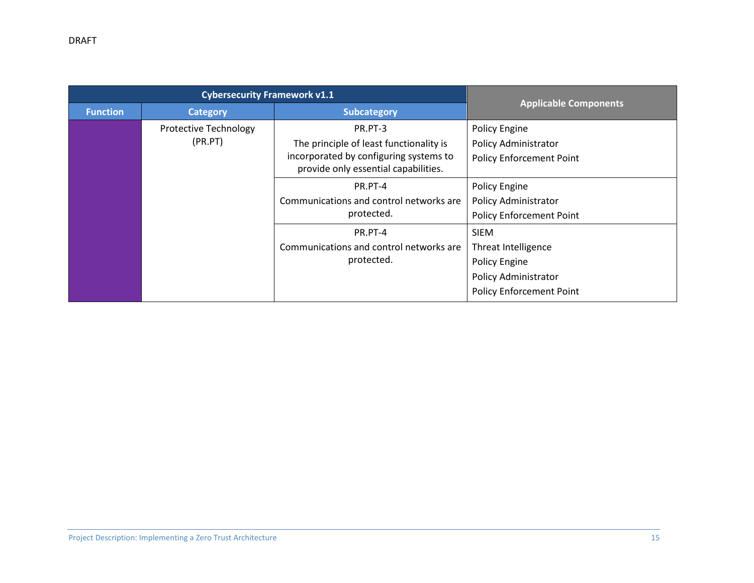|                 | <b>Cybersecurity Framework v1.1</b>     |                                                                                                                                      |                                                                                                                |  |
|-----------------|-----------------------------------------|--------------------------------------------------------------------------------------------------------------------------------------|----------------------------------------------------------------------------------------------------------------|--|
| <b>Function</b> | <b>Category</b>                         | <b>Subcategory</b>                                                                                                                   | <b>Applicable Components</b>                                                                                   |  |
|                 | <b>Protective Technology</b><br>(PR.PT) | PR.PT-3<br>The principle of least functionality is<br>incorporated by configuring systems to<br>provide only essential capabilities. | <b>Policy Engine</b><br><b>Policy Administrator</b><br><b>Policy Enforcement Point</b>                         |  |
|                 |                                         | PR.PT-4<br>Communications and control networks are<br>protected.                                                                     | Policy Engine<br><b>Policy Administrator</b><br><b>Policy Enforcement Point</b>                                |  |
|                 |                                         | PR.PT-4<br>Communications and control networks are<br>protected.                                                                     | <b>SIEM</b><br>Threat Intelligence<br>Policy Engine<br>Policy Administrator<br><b>Policy Enforcement Point</b> |  |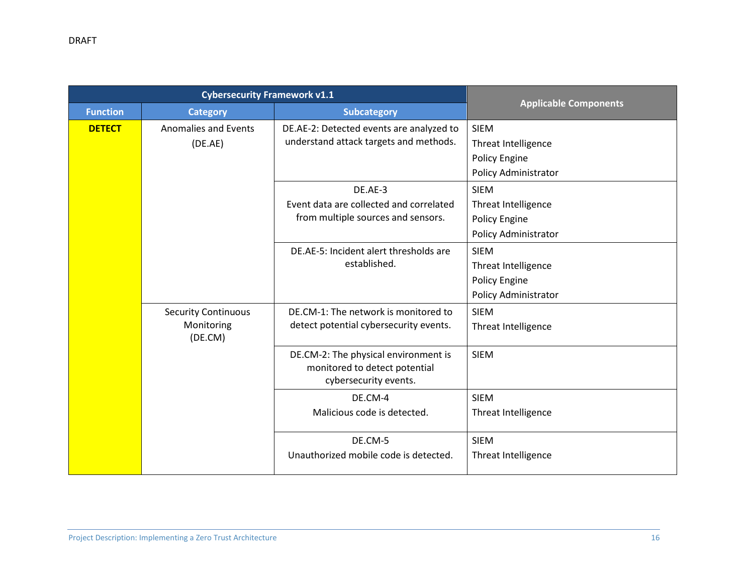|                 | <b>Cybersecurity Framework v1.1</b>                 |                                                                                                |                                                                                           |  |
|-----------------|-----------------------------------------------------|------------------------------------------------------------------------------------------------|-------------------------------------------------------------------------------------------|--|
| <b>Function</b> | <b>Category</b>                                     | <b>Subcategory</b>                                                                             | <b>Applicable Components</b>                                                              |  |
| <b>DETECT</b>   | <b>Anomalies and Events</b><br>(DE.AE)              | DE.AE-2: Detected events are analyzed to<br>understand attack targets and methods.             | <b>SIEM</b><br><b>Threat Intelligence</b><br><b>Policy Engine</b><br>Policy Administrator |  |
|                 |                                                     | DE.AE-3<br>Event data are collected and correlated<br>from multiple sources and sensors.       | <b>SIEM</b><br>Threat Intelligence<br>Policy Engine<br>Policy Administrator               |  |
|                 |                                                     | DE.AE-5: Incident alert thresholds are<br>established.                                         | <b>SIEM</b><br>Threat Intelligence<br>Policy Engine<br>Policy Administrator               |  |
|                 | <b>Security Continuous</b><br>Monitoring<br>(DE.CM) | DE.CM-1: The network is monitored to<br>detect potential cybersecurity events.                 | <b>SIEM</b><br>Threat Intelligence                                                        |  |
|                 |                                                     | DE.CM-2: The physical environment is<br>monitored to detect potential<br>cybersecurity events. | <b>SIEM</b>                                                                               |  |
|                 |                                                     | DE.CM-4<br>Malicious code is detected.                                                         | <b>SIEM</b><br><b>Threat Intelligence</b>                                                 |  |
|                 |                                                     | DE.CM-5<br>Unauthorized mobile code is detected.                                               | <b>SIEM</b><br>Threat Intelligence                                                        |  |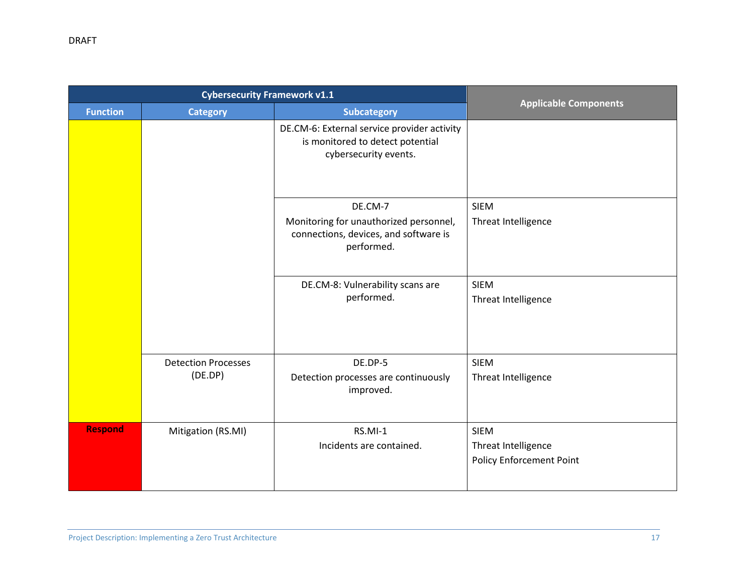|                 | <b>Cybersecurity Framework v1.1</b> |                                                                                                          |                                 |
|-----------------|-------------------------------------|----------------------------------------------------------------------------------------------------------|---------------------------------|
| <b>Function</b> | <b>Category</b>                     | <b>Subcategory</b>                                                                                       | <b>Applicable Components</b>    |
|                 |                                     | DE.CM-6: External service provider activity<br>is monitored to detect potential<br>cybersecurity events. |                                 |
|                 |                                     | DE.CM-7                                                                                                  | <b>SIEM</b>                     |
|                 |                                     | Monitoring for unauthorized personnel,<br>connections, devices, and software is<br>performed.            | Threat Intelligence             |
|                 |                                     | DE.CM-8: Vulnerability scans are                                                                         | <b>SIEM</b>                     |
|                 |                                     | performed.                                                                                               | Threat Intelligence             |
|                 | <b>Detection Processes</b>          | DE.DP-5                                                                                                  | <b>SIEM</b>                     |
|                 | (DE.DP)                             | Detection processes are continuously<br>improved.                                                        | Threat Intelligence             |
| <b>Respond</b>  | Mitigation (RS.MI)                  | RS.MI-1                                                                                                  | <b>SIEM</b>                     |
|                 |                                     | Incidents are contained.                                                                                 | Threat Intelligence             |
|                 |                                     |                                                                                                          | <b>Policy Enforcement Point</b> |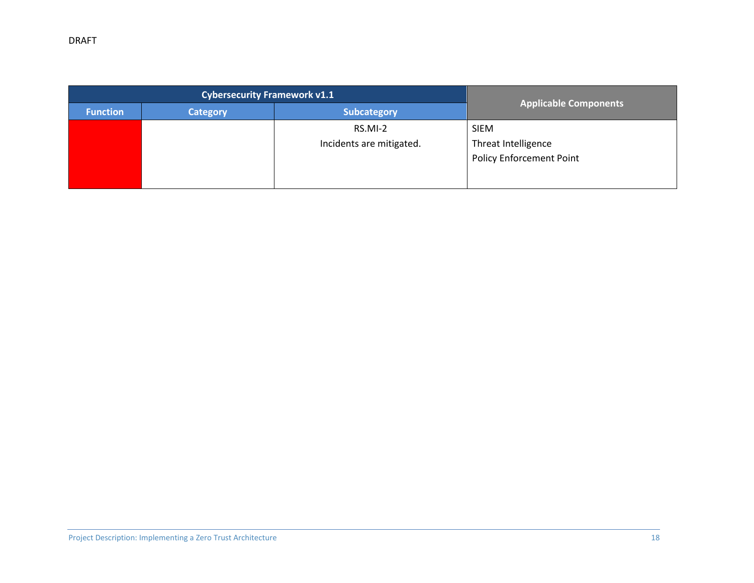| <b>Category</b> | <b>Subcategory</b>       | Applicable Components               |  |
|-----------------|--------------------------|-------------------------------------|--|
|                 | RS.MI-2                  | <b>SIEM</b>                         |  |
|                 | Incidents are mitigated. | Threat Intelligence                 |  |
|                 |                          | <b>Policy Enforcement Point</b>     |  |
|                 |                          |                                     |  |
|                 |                          | <b>Cybersecurity Framework v1.1</b> |  |